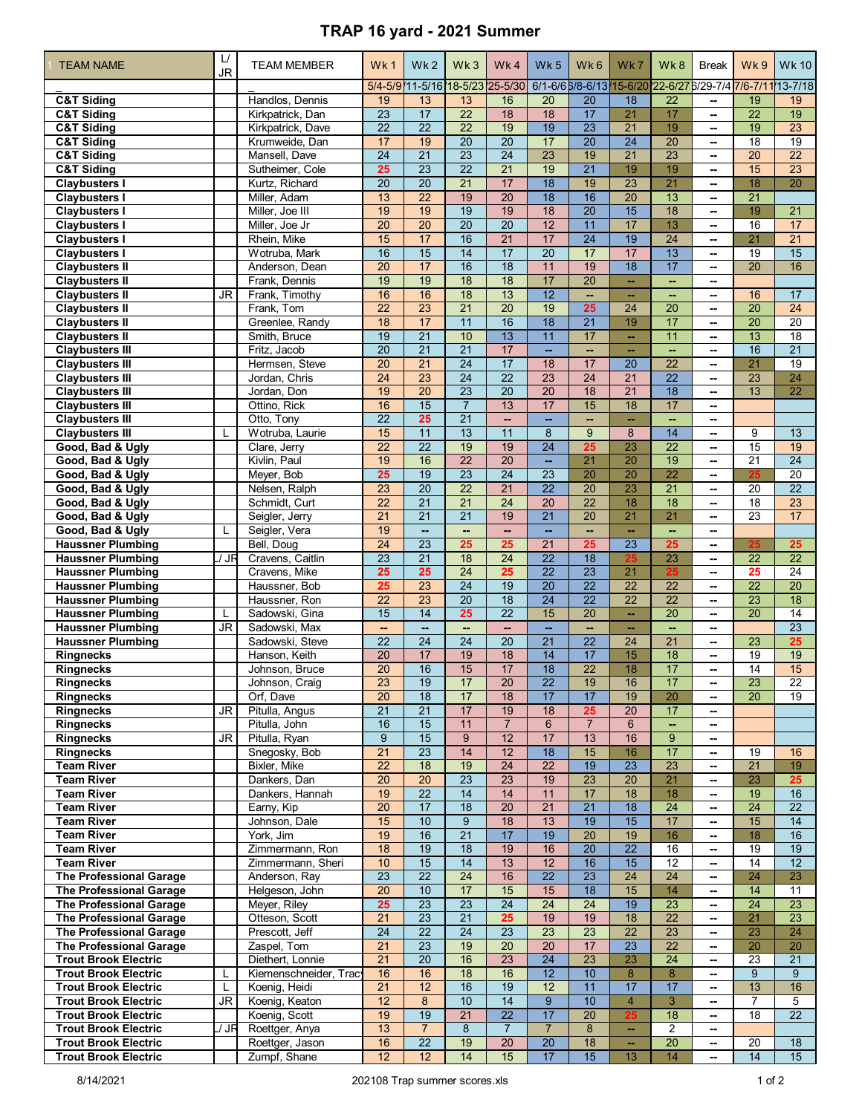## **TRAP 16 yard - 2021 Summer**

| <b>TEAM NAME</b>                                                 | L/<br><b>JR</b> | <b>TEAM MEMBER</b>              | Wk1                                | Wk <sub>2</sub>          | Wk3                                | Wk4                                | Wk <sub>5</sub>                    | Wk6                                                        | Wk7                                | Wk8                                | <b>Break</b>                                         | Wk9                                | <b>Wk 10</b>          |
|------------------------------------------------------------------|-----------------|---------------------------------|------------------------------------|--------------------------|------------------------------------|------------------------------------|------------------------------------|------------------------------------------------------------|------------------------------------|------------------------------------|------------------------------------------------------|------------------------------------|-----------------------|
|                                                                  |                 |                                 |                                    |                          |                                    | 5/4-5/9 11-5/16 18-5/23 25-5/30    |                                    | 6/1-6/6 6/8-6/13 15-6/20 22-6/27 6/29-7/4 7/6-7/11 13-7/18 |                                    |                                    |                                                      |                                    |                       |
| <b>C&amp;T Siding</b>                                            |                 | Handlos, Dennis                 | 19                                 | 13                       | 13                                 | 16                                 | 20                                 | 20                                                         | 18                                 | $\overline{22}$                    | $\mathbf{u}$                                         | 19                                 | 19                    |
| <b>C&amp;T Siding</b>                                            |                 | Kirkpatrick, Dan                | 23                                 | 17                       | $\overline{22}$                    | 18                                 | 18                                 | 17                                                         | 21                                 | 17                                 | $\overline{\phantom{a}}$                             | $\overline{22}$                    | 19                    |
| <b>C&amp;T Siding</b>                                            |                 | Kirkpatrick, Dave               | $\overline{22}$                    | $\overline{22}$          | $\overline{22}$                    | 19                                 | 19                                 | $\overline{23}$                                            | $\overline{21}$                    | 19                                 | --                                                   | 19                                 | $\overline{23}$       |
| <b>C&amp;T Siding</b><br><b>C&amp;T Siding</b>                   |                 | Krumweide, Dan<br>Mansell, Dave | 17<br>$\overline{24}$              | 19<br>$\overline{21}$    | $\overline{20}$<br>$\overline{23}$ | $\overline{20}$<br>$\overline{24}$ | 17<br>23                           | $\overline{20}$<br>19                                      | $\overline{24}$<br>$\overline{21}$ | $\overline{20}$<br>$\overline{23}$ | ⊷<br>--                                              | 18<br>20                           | $\overline{19}$<br>22 |
| <b>C&amp;T Siding</b>                                            |                 | Sutheimer, Cole                 | 25                                 | 23                       | $\overline{22}$                    | $\overline{21}$                    | 19                                 | $\overline{21}$                                            | 19                                 | 19                                 | $\overline{\phantom{a}}$                             | 15                                 | 23                    |
| <b>Claybusters I</b>                                             |                 | Kurtz, Richard                  | $\overline{20}$                    | $\overline{20}$          | $\overline{21}$                    | 17                                 | $\overline{18}$                    | 19                                                         | 23                                 | $\overline{21}$                    | --                                                   | 18                                 | 20                    |
| <b>Claybusters I</b>                                             |                 | Miller, Adam                    | 13                                 | $\overline{22}$          | 19                                 | $\overline{20}$                    | 18                                 | 16                                                         | 20                                 | 13                                 | $\overline{\phantom{a}}$                             | $\overline{21}$                    |                       |
| <b>Claybusters I</b>                                             |                 | Miller, Joe III                 | 19                                 | 19                       | 19                                 | 19                                 | 18                                 | $\overline{20}$                                            | $\overline{15}$                    | 18                                 | $\overline{\phantom{a}}$                             | 19                                 | $\overline{21}$       |
| <b>Claybusters I</b>                                             |                 | Miller, Joe Jr                  | $\overline{20}$                    | $\overline{20}$          | $\overline{20}$                    | $\overline{20}$                    | 12                                 | 11                                                         | 17                                 | 13                                 | $\overline{\phantom{a}}$                             | 16                                 | 17                    |
| <b>Claybusters I</b>                                             |                 | Rhein, Mike                     | 15                                 | 17                       | 16                                 | $\overline{21}$                    | 17                                 | $\overline{24}$                                            | 19                                 | $\overline{24}$                    | $\overline{\phantom{a}}$                             | 21                                 | $\overline{21}$       |
| <b>Claybusters I</b><br><b>Claybusters II</b>                    |                 | Wotruba, Mark<br>Anderson, Dean | 16<br>$\overline{20}$              | 15<br>17                 | 14<br>16                           | 17<br>$\overline{18}$              | $\overline{20}$<br>11              | 17<br>19                                                   | 17<br>$\overline{18}$              | $\overline{13}$<br>17              | $\overline{\phantom{a}}$<br>--                       | $\overline{19}$<br>$\overline{20}$ | $\overline{15}$<br>16 |
| <b>Claybusters II</b>                                            |                 | Frank, Dennis                   | 19                                 | 19                       | 18                                 | 18                                 | 17                                 | $\overline{20}$                                            | ÷.                                 | ш.                                 | $\overline{\phantom{a}}$                             |                                    |                       |
| <b>Claybusters II</b>                                            | JR              | Frank, Timothy                  | 16                                 | 16                       | 18                                 | 13                                 | $\overline{12}$                    | u,                                                         | $\sim$                             | ш,                                 | $\overline{a}$                                       | 16                                 | 17                    |
| <b>Claybusters II</b>                                            |                 | Frank, Tom                      | 22                                 | 23                       | $\overline{21}$                    | 20                                 | 19                                 | 25                                                         | 24                                 | 20                                 | $\overline{\phantom{a}}$                             | 20                                 | $\overline{24}$       |
| <b>Claybusters II</b>                                            |                 | Greenlee, Randy                 | 18                                 | 17                       | 11                                 | 16                                 | $\overline{18}$                    | $\overline{21}$                                            | 19                                 | $\overline{17}$                    | --                                                   | $\overline{20}$                    | 20                    |
| <b>Claybusters II</b>                                            |                 | Smith, Bruce                    | 19                                 | $\overline{21}$          | 10                                 | 13                                 | 11                                 | 17                                                         | ш,                                 | 11                                 | $\overline{\phantom{a}}$                             | 13                                 | $\overline{18}$       |
| <b>Claybusters III</b>                                           |                 | Fritz, Jacob                    | $\overline{20}$<br>$\overline{20}$ | $\overline{21}$<br>21    | $\overline{21}$<br>$\overline{24}$ | 17<br>$\overline{17}$              | ш.<br>18                           | $\sim$<br>17                                               | $\sim$                             | --                                 | --                                                   | 16<br>21                           | 21<br>$\overline{19}$ |
| <b>Claybusters III</b><br><b>Claybusters III</b>                 |                 | Hermsen, Steve<br>Jordan, Chris | $\overline{24}$                    | $\overline{23}$          | $\overline{24}$                    | $\overline{22}$                    | $\overline{23}$                    | 24                                                         | 20<br>21                           | 22<br>$\overline{22}$              | $\overline{\phantom{a}}$<br>$\overline{\phantom{a}}$ | 23                                 | 24                    |
| <b>Claybusters III</b>                                           |                 | Jordan, Don                     | 19                                 | $\overline{20}$          | $\overline{23}$                    | $\overline{20}$                    | $\overline{20}$                    | 18                                                         | $\overline{21}$                    | $\overline{18}$                    | $\overline{\phantom{a}}$                             | $\overline{13}$                    | 22                    |
| <b>Claybusters III</b>                                           |                 | Ottino, Rick                    | 16                                 | 15                       | $\overline{7}$                     | 13                                 | 17                                 | 15                                                         | 18                                 | 17                                 | $\overline{\phantom{a}}$                             |                                    |                       |
| <b>Claybusters III</b>                                           |                 | Otto, Tony                      | $\overline{22}$                    | 25                       | $\overline{21}$                    | Щ,                                 | ц.                                 | ш,                                                         | ш,                                 | -−                                 | --                                                   |                                    |                       |
| <b>Claybusters III</b>                                           | L               | Wotruba, Laurie                 | 15                                 | 11                       | 13                                 | 11                                 | 8                                  | 9                                                          | 8                                  | $\overline{14}$                    | --                                                   | 9                                  | 13                    |
| Good, Bad & Ugly                                                 |                 | Clare, Jerry                    | $\overline{22}$                    | $\overline{22}$          | 19                                 | 19                                 | $\overline{24}$                    | 25                                                         | 23                                 | $\overline{22}$                    | $\overline{\phantom{a}}$                             | 15                                 | 19                    |
| Good, Bad & Ugly                                                 |                 | Kivlin, Paul                    | 19                                 | 16                       | $\overline{22}$                    | $\overline{20}$                    | $\sim$                             | 21                                                         | 20                                 | 19<br>$\overline{22}$              | $\overline{\phantom{a}}$                             | $\overline{21}$                    | $\overline{24}$       |
| Good, Bad & Ugly<br>Good, Bad & Ugly                             |                 | Meyer, Bob<br>Nelsen, Ralph     | 25<br>$\overline{23}$              | 19<br>$\overline{20}$    | $\overline{23}$<br>$\overline{22}$ | $\overline{24}$<br>$\overline{21}$ | 23<br>$\overline{22}$              | $\overline{20}$<br>20                                      | 20<br>23                           | $\overline{21}$                    | $\overline{\phantom{a}}$<br>$\overline{a}$           | 25<br>20                           | 20<br>$\overline{22}$ |
| Good, Bad & Ugly                                                 |                 | Schmidt, Curt                   | 22                                 | 21                       | $\overline{21}$                    | 24                                 | 20                                 | 22                                                         | 18                                 | 18                                 | --                                                   | 18                                 | $\overline{23}$       |
| Good, Bad & Ugly                                                 |                 | Seigler, Jerry                  | $\overline{21}$                    | $\overline{21}$          | $\overline{21}$                    | 19                                 | $\overline{21}$                    | $\overline{20}$                                            | $\overline{21}$                    | 21                                 | --                                                   | 23                                 | 17                    |
| Good, Bad & Ugly                                                 | L               | Seigler, Vera                   | 19                                 | $\overline{\phantom{a}}$ | Щ,                                 | $\overline{\phantom{a}}$           | $\mathbb{Z}^2$                     | --                                                         | ÷.                                 | ш,                                 | $\overline{\phantom{a}}$                             |                                    |                       |
| <b>Haussner Plumbing</b>                                         |                 | Bell, Doug                      | $\overline{24}$                    | 23                       | 25                                 | 25                                 | 21                                 | 25                                                         | 23                                 | 25                                 | $\overline{\phantom{a}}$                             | 25                                 | 25                    |
| <b>Haussner Plumbing</b>                                         | / JR            | Cravens, Caitlin                | $\overline{23}$                    | $\overline{21}$          | 18                                 | $\overline{24}$                    | $\overline{22}$                    | $\overline{18}$                                            | 25                                 | 23                                 | $\overline{\phantom{a}}$                             | $\overline{22}$                    | $\overline{22}$       |
| <b>Haussner Plumbing</b>                                         |                 | Cravens, Mike                   | 25                                 | 25                       | $\overline{24}$                    | 25                                 | $\overline{22}$                    | 23                                                         | 21                                 | 25                                 | ۰.                                                   | 25                                 | $\overline{24}$       |
| <b>Haussner Plumbing</b><br><b>Haussner Plumbing</b>             |                 | Haussner, Bob<br>Haussner, Ron  | 25<br>$\overline{22}$              | 23<br>23                 | $\overline{24}$<br>$\overline{20}$ | 19<br>18                           | $\overline{20}$<br>$\overline{24}$ | $\overline{22}$<br>$\overline{22}$                         | $\overline{22}$<br>$\overline{22}$ | $\overline{22}$<br>$\overline{22}$ | $\overline{\phantom{a}}$<br>$\overline{\phantom{a}}$ | $\overline{22}$<br>$\overline{23}$ | 20<br>$\overline{18}$ |
| <b>Haussner Plumbing</b>                                         | L               | Sadowski, Gina                  | 15                                 | $\overline{14}$          | 25                                 | $\overline{22}$                    | 15                                 | $\overline{20}$                                            | ÷,                                 | $\overline{20}$                    | $\overline{\phantom{a}}$                             | $\overline{20}$                    | $\overline{14}$       |
| <b>Haussner Plumbing</b>                                         | JR              | Sadowski, Max                   | $\sim$                             | $\overline{\phantom{a}}$ | $\overline{\phantom{a}}$           | $\overline{\phantom{a}}$           | $\mathbb{Z}^2$                     | $\overline{\phantom{a}}$                                   | $\overline{\phantom{a}}$           | ш,                                 | ۰.                                                   |                                    | 23                    |
| <b>Haussner Plumbing</b>                                         |                 | Sadowski, Steve                 | $\overline{22}$                    | $\overline{24}$          | $\overline{24}$                    | 20                                 | $\overline{21}$                    | $\overline{22}$                                            | 24                                 | $\overline{21}$                    | $\overline{\phantom{a}}$                             | 23                                 | 25                    |
| <b>Ringnecks</b>                                                 |                 | Hanson, Keith                   | $\overline{20}$                    | 17                       | 19                                 | 18                                 | $\overline{14}$                    | 17                                                         | 15                                 | 18                                 | --                                                   | $\overline{19}$                    | 19                    |
| <b>Ringnecks</b>                                                 |                 | Johnson, Bruce                  | $\overline{20}$                    | 16                       | 15                                 | 17                                 | $\overline{18}$                    | $\overline{22}$                                            | $\overline{18}$                    | 17                                 | --                                                   | $\overline{14}$                    | 15                    |
| <b>Ringnecks</b>                                                 |                 | Johnson, Craig                  | $\overline{23}$                    | 19                       | $\overline{17}$                    | $\overline{20}$                    | $\overline{22}$                    | 19                                                         | $\overline{16}$                    | 17                                 |                                                      | $\overline{23}$                    | $\overline{22}$       |
| Ringnecks<br><b>Ringnecks</b>                                    | JR              | Orf, Dave<br>Pitulla, Angus     | 20<br>$\overline{21}$              | 18<br>$\overline{21}$    | 17<br>17                           | 18<br>19                           | 17<br>18                           | 17<br>25                                                   | 19<br>20                           | 20<br>17                           | ۰.                                                   | 20                                 | 19                    |
| Ringnecks                                                        |                 | Pitulla, John                   | 16                                 | 15                       | 11                                 | $\overline{7}$                     | $6\overline{6}$                    | $\overline{7}$                                             | $6\phantom{1}$                     | н.                                 | $\overline{\phantom{a}}$                             |                                    |                       |
| <b>Ringnecks</b>                                                 | JR              | Pitulla, Ryan                   | 9                                  | 15                       | $\overline{9}$                     | 12                                 | 17                                 | 13                                                         | 16                                 | 9                                  | ۰.                                                   |                                    |                       |
| <b>Ringnecks</b>                                                 |                 | Snegosky, Bob                   | 21                                 | 23                       | 14                                 | 12                                 | 18                                 | 15                                                         | 16                                 | 17                                 | ⊷                                                    | 19                                 | 16                    |
| <b>Team River</b>                                                |                 | Bixler, Mike                    | $\overline{22}$                    | 18                       | 19                                 | 24                                 | 22                                 | 19                                                         | 23                                 | 23                                 | ⊷                                                    | 21                                 | 19                    |
| <b>Team River</b>                                                |                 | Dankers, Dan                    | 20                                 | 20                       | $\overline{23}$                    | 23                                 | 19                                 | 23                                                         | 20                                 | 21                                 | ⊷                                                    | 23                                 | 25                    |
| <b>Team River</b><br><b>Team River</b>                           |                 | Dankers, Hannah<br>Earny, Kip   | 19<br>$\overline{20}$              | $\overline{22}$<br>17    | 14<br>18                           | 14<br>20                           | 11<br>$\overline{21}$              | 17<br>$\overline{21}$                                      | 18<br>18                           | 18<br>24                           | $\overline{\phantom{a}}$                             | 19<br>24                           | 16<br>22              |
| <b>Team River</b>                                                |                 | Johnson, Dale                   | 15                                 | 10                       | $\overline{9}$                     | 18                                 | 13                                 | 19                                                         | 15                                 | 17                                 | ۰.<br>۰.                                             | 15                                 | 14                    |
| <b>Team River</b>                                                |                 | York, Jim                       | 19                                 | 16                       | $\overline{21}$                    | 17                                 | 19                                 | $\overline{20}$                                            | 19                                 | 16                                 | ⊷                                                    | 18                                 | 16                    |
| <b>Team River</b>                                                |                 | Zimmermann, Ron                 | 18                                 | 19                       | 18                                 | 19                                 | 16                                 | 20                                                         | $\overline{22}$                    | 16                                 | ⊷                                                    | 19                                 | 19                    |
| <b>Team River</b>                                                |                 | Zimmermann, Sheri               | 10                                 | 15                       | 14                                 | 13                                 | 12                                 | 16                                                         | 15                                 | 12                                 | $\overline{\phantom{a}}$                             | 14                                 | $\overline{12}$       |
| <b>The Professional Garage</b>                                   |                 | Anderson, Ray                   | 23                                 | $\overline{22}$          | $\overline{24}$                    | 16                                 | $\overline{22}$                    | $\overline{23}$                                            | $\overline{24}$                    | 24                                 | $\mathbf{u}$                                         | 24                                 | 23                    |
| <b>The Professional Garage</b>                                   |                 | Helgeson, John                  | 20                                 | 10                       | 17                                 | 15                                 | 15                                 | 18                                                         | 15                                 | 14                                 | ⊷                                                    | 14                                 | 11                    |
| <b>The Professional Garage</b><br><b>The Professional Garage</b> |                 | Meyer, Riley<br>Otteson, Scott  | 25<br>21                           | 23<br>23                 | 23<br>21                           | 24<br>25                           | $\overline{24}$<br>19              | $\overline{24}$<br>19                                      | 19<br>18                           | 23<br>22                           | ⊷<br>⊷                                               | 24<br>21                           | 23<br>23              |
| <b>The Professional Garage</b>                                   |                 | Prescott, Jeff                  | 24                                 | $\overline{22}$          | $\overline{24}$                    | 23                                 | 23                                 | 23                                                         | 22                                 | 23                                 | ۰.                                                   | 23                                 | 24                    |
| <b>The Professional Garage</b>                                   |                 | Zaspel, Tom                     | 21                                 | $\overline{23}$          | 19                                 | $\overline{20}$                    | $\overline{20}$                    | 17                                                         | 23                                 | $\overline{22}$                    | --                                                   | 20                                 | 20                    |
| <b>Trout Brook Electric</b>                                      |                 | Diethert, Lonnie                | $\overline{21}$                    | $\overline{20}$          | 16                                 | 23                                 | 24                                 | 23                                                         | 23                                 | 24                                 | $\overline{\phantom{a}}$                             | 23                                 | 21                    |
| <b>Trout Brook Electric</b>                                      | L               | Kiemenschneider, Tract          | 16                                 | 16                       | 18                                 | 16                                 | 12                                 | 10                                                         | $\bf{8}$                           | $\overline{8}$                     | ۰.                                                   | 9                                  | 9                     |
| <b>Trout Brook Electric</b>                                      | L               | Koenig, Heidi                   | 21                                 | 12                       | 16                                 | 19                                 | 12                                 | 11                                                         | 17                                 | 17                                 | ⊷                                                    | 13                                 | 16                    |
| <b>Trout Brook Electric</b><br><b>Trout Brook Electric</b>       | JR.             | Koenig, Keaton<br>Koenig, Scott | 12<br>19                           | 8<br>$\overline{19}$     | 10<br>21                           | 14<br>$\overline{22}$              | 9<br>17                            | 10<br>20                                                   | $\overline{4}$<br>25               | $\sqrt{3}$<br>18                   | ⊷<br>$\overline{\phantom{a}}$                        | $\overline{7}$<br>18               | 5<br>$\overline{22}$  |
| <b>Trout Brook Electric</b>                                      | / JR            | Roettger, Anya                  | 13                                 | $\overline{7}$           | 8                                  | $\overline{7}$                     | $\overline{7}$                     | 8                                                          | ÷.                                 | $\overline{2}$                     | $\mathbf{u}$                                         |                                    |                       |
| <b>Trout Brook Electric</b>                                      |                 | Roettger, Jason                 | 16                                 | 22                       | 19                                 | 20                                 | 20                                 | 18                                                         | --                                 | 20                                 | ۰.                                                   | 20                                 | 18                    |
| <b>Trout Brook Electric</b>                                      |                 | Zumpf, Shane                    | 12                                 | 12                       | 14                                 | 15                                 | 17                                 | 15                                                         | 13                                 | 14                                 | -−                                                   | 14                                 | 15                    |